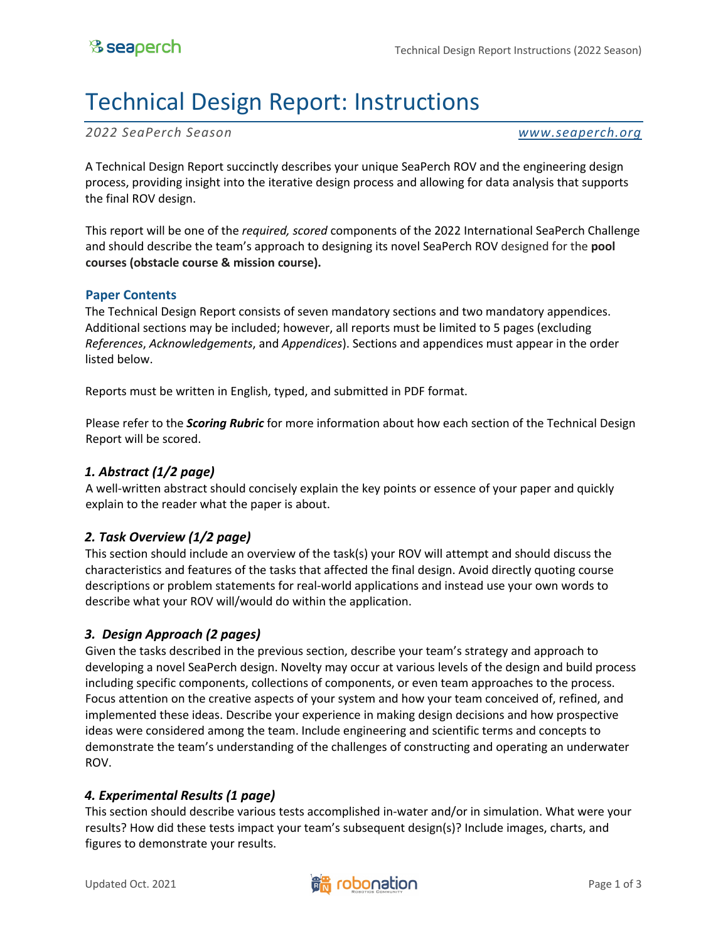# Technical Design Report: Instructions

*2022 SeaPerch Season www.seaperch.org*

A Technical Design Report succinctly describes your unique SeaPerch ROV and the engineering design process, providing insight into the iterative design process and allowing for data analysis that supports the final ROV design.

This report will be one of the *required, scored* components of the 2022 International SeaPerch Challenge and should describe the team's approach to designing its novel SeaPerch ROV designed for the **pool courses (obstacle course & mission course).** 

#### **Paper Contents**

The Technical Design Report consists of seven mandatory sections and two mandatory appendices. Additional sections may be included; however, all reports must be limited to 5 pages (excluding *References*, *Acknowledgements*, and *Appendices*). Sections and appendices must appear in the order listed below.

Reports must be written in English, typed, and submitted in PDF format.

Please refer to the *Scoring Rubric* for more information about how each section of the Technical Design Report will be scored.

#### *1. Abstract (1/2 page)*

A well-written abstract should concisely explain the key points or essence of your paper and quickly explain to the reader what the paper is about.

# *2. Task Overview (1/2 page)*

This section should include an overview of the task(s) your ROV will attempt and should discuss the characteristics and features of the tasks that affected the final design. Avoid directly quoting course descriptions or problem statements for real-world applications and instead use your own words to describe what your ROV will/would do within the application.

# *3. Design Approach (2 pages)*

Given the tasks described in the previous section, describe your team's strategy and approach to developing a novel SeaPerch design. Novelty may occur at various levels of the design and build process including specific components, collections of components, or even team approaches to the process. Focus attention on the creative aspects of your system and how your team conceived of, refined, and implemented these ideas. Describe your experience in making design decisions and how prospective ideas were considered among the team. Include engineering and scientific terms and concepts to demonstrate the team's understanding of the challenges of constructing and operating an underwater ROV.

# *4. Experimental Results (1 page)*

This section should describe various tests accomplished in-water and/or in simulation. What were your results? How did these tests impact your team's subsequent design(s)? Include images, charts, and figures to demonstrate your results.

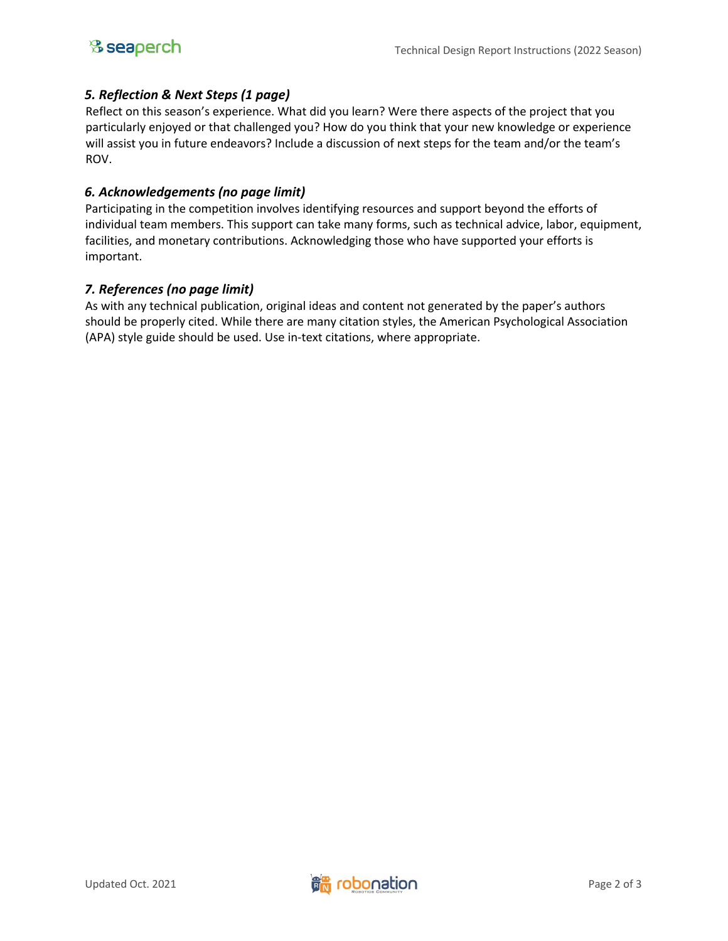# *5. Reflection & Next Steps (1 page)*

Reflect on this season's experience. What did you learn? Were there aspects of the project that you particularly enjoyed or that challenged you? How do you think that your new knowledge or experience will assist you in future endeavors? Include a discussion of next steps for the team and/or the team's ROV.

# *6. Acknowledgements (no page limit)*

Participating in the competition involves identifying resources and support beyond the efforts of individual team members. This support can take many forms, such as technical advice, labor, equipment, facilities, and monetary contributions. Acknowledging those who have supported your efforts is important.

# *7. References (no page limit)*

As with any technical publication, original ideas and content not generated by the paper's authors should be properly cited. While there are many citation styles, the American Psychological Association (APA) style guide should be used. Use in-text citations, where appropriate.